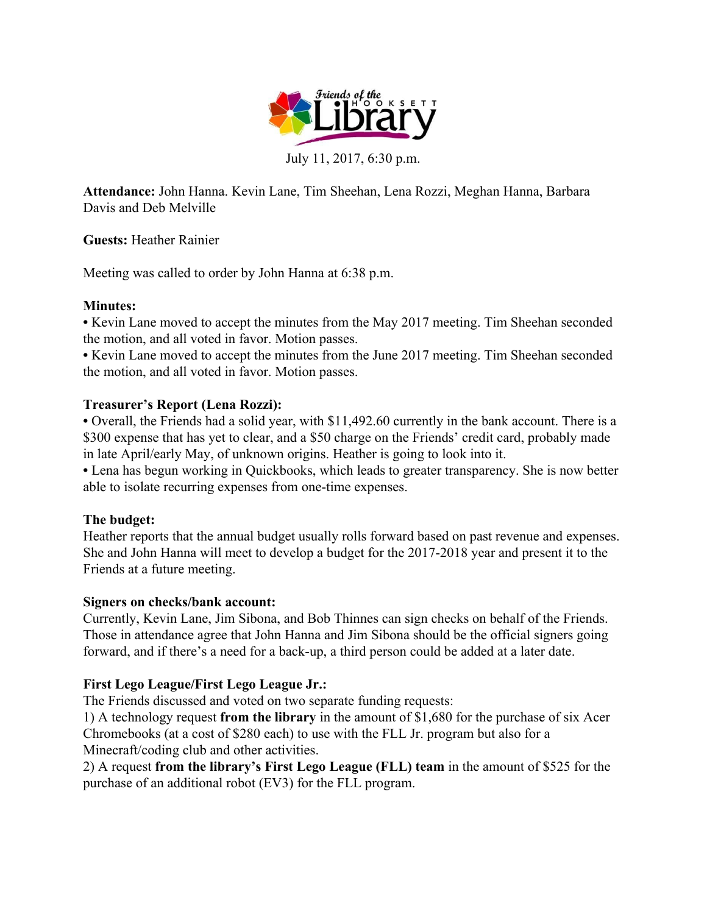

July 11, 2017, 6:30 p.m.

**Attendance:** John Hanna. Kevin Lane, Tim Sheehan, Lena Rozzi, Meghan Hanna, Barbara Davis and Deb Melville

**Guests:** Heather Rainier

Meeting was called to order by John Hanna at 6:38 p.m.

# **Minutes:**

**•** Kevin Lane moved to accept the minutes from the May 2017 meeting. Tim Sheehan seconded the motion, and all voted in favor. Motion passes.

**•** Kevin Lane moved to accept the minutes from the June 2017 meeting. Tim Sheehan seconded the motion, and all voted in favor. Motion passes.

# **Treasurer's Report (Lena Rozzi):**

**•** Overall, the Friends had a solid year, with \$11,492.60 currently in the bank account. There is a \$300 expense that has yet to clear, and a \$50 charge on the Friends' credit card, probably made in late April/early May, of unknown origins. Heather is going to look into it.

**•** Lena has begun working in Quickbooks, which leads to greater transparency. She is now better able to isolate recurring expenses from one-time expenses.

# **The budget:**

Heather reports that the annual budget usually rolls forward based on past revenue and expenses. She and John Hanna will meet to develop a budget for the 2017-2018 year and present it to the Friends at a future meeting.

# **Signers on checks/bank account:**

Currently, Kevin Lane, Jim Sibona, and Bob Thinnes can sign checks on behalf of the Friends. Those in attendance agree that John Hanna and Jim Sibona should be the official signers going forward, and if there's a need for a back-up, a third person could be added at a later date.

# **First Lego League/First Lego League Jr.:**

The Friends discussed and voted on two separate funding requests:

1) A technology request **from the library** in the amount of \$1,680 for the purchase of six Acer Chromebooks (at a cost of \$280 each) to use with the FLL Jr. program but also for a Minecraft/coding club and other activities.

2) A request **from the library's First Lego League (FLL) team** in the amount of \$525 for the purchase of an additional robot (EV3) for the FLL program.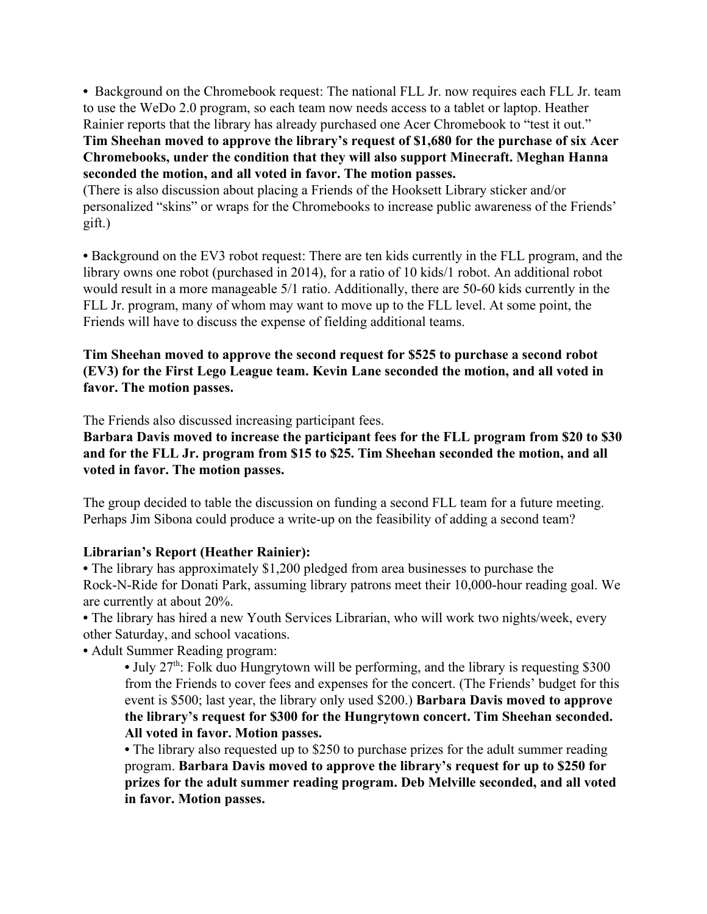• Background on the Chromebook request: The national FLL Jr. now requires each FLL Jr. team to use the WeDo 2.0 program, so each team now needs access to a tablet or laptop. Heather Rainier reports that the library has already purchased one Acer Chromebook to "test it out." **Tim Sheehan moved to approve the library's request of \$1,680 for the purchase of six Acer Chromebooks, under the condition that they will also support Minecraft. Meghan Hanna seconded the motion, and all voted in favor. The motion passes.**

(There is also discussion about placing a Friends of the Hooksett Library sticker and/or personalized "skins" or wraps for the Chromebooks to increase public awareness of the Friends' gift.)

**•** Background on the EV3 robot request: There are ten kids currently in the FLL program, and the library owns one robot (purchased in 2014), for a ratio of 10 kids/1 robot. An additional robot would result in a more manageable 5/1 ratio. Additionally, there are 50-60 kids currently in the FLL Jr. program, many of whom may want to move up to the FLL level. At some point, the Friends will have to discuss the expense of fielding additional teams.

**Tim Sheehan moved to approve the second request for \$525 to purchase a second robot (EV3) for the First Lego League team. Kevin Lane seconded the motion, and all voted in favor. The motion passes.**

The Friends also discussed increasing participant fees.

**Barbara Davis moved to increase the participant fees for the FLL program from \$20 to \$30 and for the FLL Jr. program from \$15 to \$25. Tim Sheehan seconded the motion, and all voted in favor. The motion passes.**

The group decided to table the discussion on funding a second FLL team for a future meeting. Perhaps Jim Sibona could produce a write-up on the feasibility of adding a second team?

#### **Librarian's Report (Heather Rainier):**

**•** The library has approximately \$1,200 pledged from area businesses to purchase the Rock-N-Ride for Donati Park, assuming library patrons meet their 10,000-hour reading goal. We are currently at about 20%.

**•** The library has hired a new Youth Services Librarian, who will work two nights/week, every other Saturday, and school vacations.

**•** Adult Summer Reading program:

• July 27<sup>th</sup>: Folk duo Hungrytown will be performing, and the library is requesting \$300 from the Friends to cover fees and expenses for the concert. (The Friends' budget for this event is \$500; last year, the library only used \$200.) **Barbara Davis moved to approve the library's request for \$300 for the Hungrytown concert. Tim Sheehan seconded. All voted in favor. Motion passes.**

• The library also requested up to \$250 to purchase prizes for the adult summer reading program. **Barbara Davis moved to approve the library's request for up to \$250 for prizes for the adult summer reading program. Deb Melville seconded, and all voted in favor. Motion passes.**